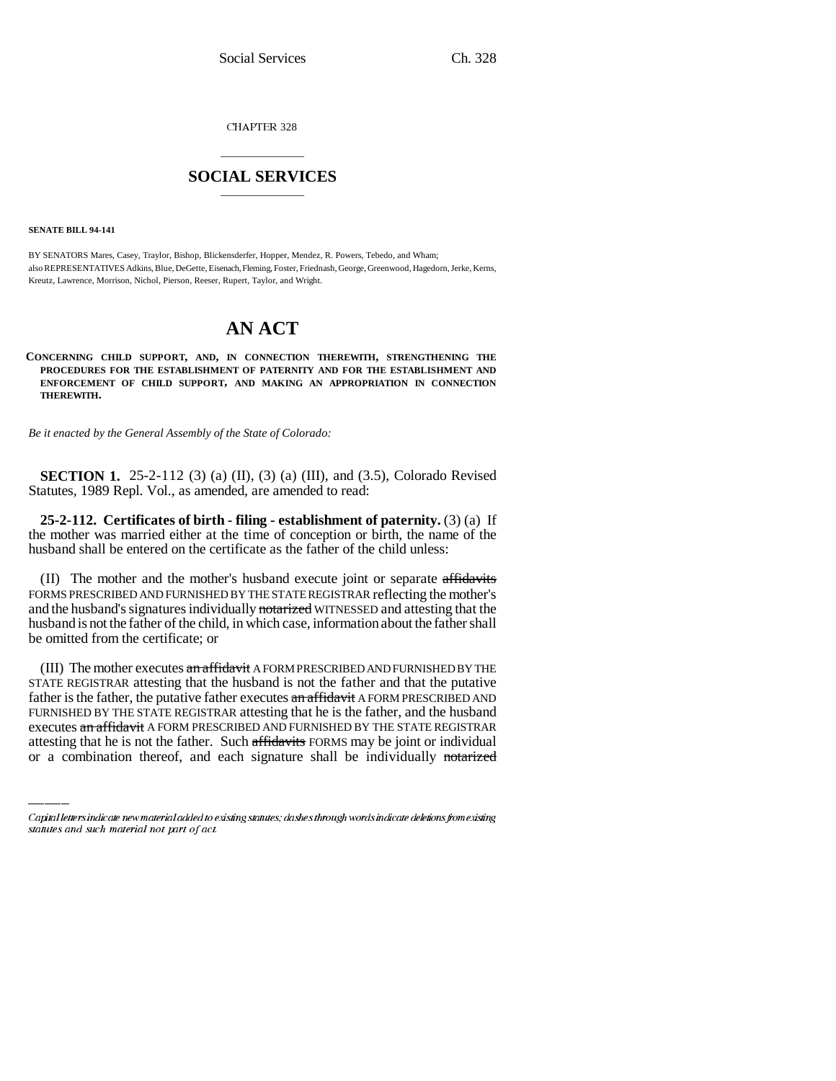CHAPTER 328

## \_\_\_\_\_\_\_\_\_\_\_\_\_\_\_ **SOCIAL SERVICES** \_\_\_\_\_\_\_\_\_\_\_\_\_\_\_

**SENATE BILL 94-141**

BY SENATORS Mares, Casey, Traylor, Bishop, Blickensderfer, Hopper, Mendez, R. Powers, Tebedo, and Wham; also REPRESENTATIVES Adkins, Blue, DeGette, Eisenach, Fleming, Foster, Friednash, George, Greenwood, Hagedorn, Jerke, Kerns, Kreutz, Lawrence, Morrison, Nichol, Pierson, Reeser, Rupert, Taylor, and Wright.

# **AN ACT**

**CONCERNING CHILD SUPPORT, AND, IN CONNECTION THEREWITH, STRENGTHENING THE PROCEDURES FOR THE ESTABLISHMENT OF PATERNITY AND FOR THE ESTABLISHMENT AND ENFORCEMENT OF CHILD SUPPORT, AND MAKING AN APPROPRIATION IN CONNECTION THEREWITH.**

*Be it enacted by the General Assembly of the State of Colorado:*

**SECTION 1.** 25-2-112 (3) (a) (II), (3) (a) (III), and (3.5), Colorado Revised Statutes, 1989 Repl. Vol., as amended, are amended to read:

**25-2-112. Certificates of birth - filing - establishment of paternity.** (3) (a) If the mother was married either at the time of conception or birth, the name of the husband shall be entered on the certificate as the father of the child unless:

(II) The mother and the mother's husband execute joint or separate affidavits FORMS PRESCRIBED AND FURNISHED BY THE STATE REGISTRAR reflecting the mother's and the husband's signatures individually notarized WITNESSED and attesting that the husband is not the father of the child, in which case, information about the father shall be omitted from the certificate; or

father is the father, the putative father executes an affidavit A FORM PRESCRIBED AND (III) The mother executes an affidavit A FORM PRESCRIBED AND FURNISHED BY THE STATE REGISTRAR attesting that the husband is not the father and that the putative FURNISHED BY THE STATE REGISTRAR attesting that he is the father, and the husband executes an affidavit A FORM PRESCRIBED AND FURNISHED BY THE STATE REGISTRAR attesting that he is not the father. Such affidavits FORMS may be joint or individual or a combination thereof, and each signature shall be individually notarized

Capital letters indicate new material added to existing statutes; dashes through words indicate deletions from existing statutes and such material not part of act.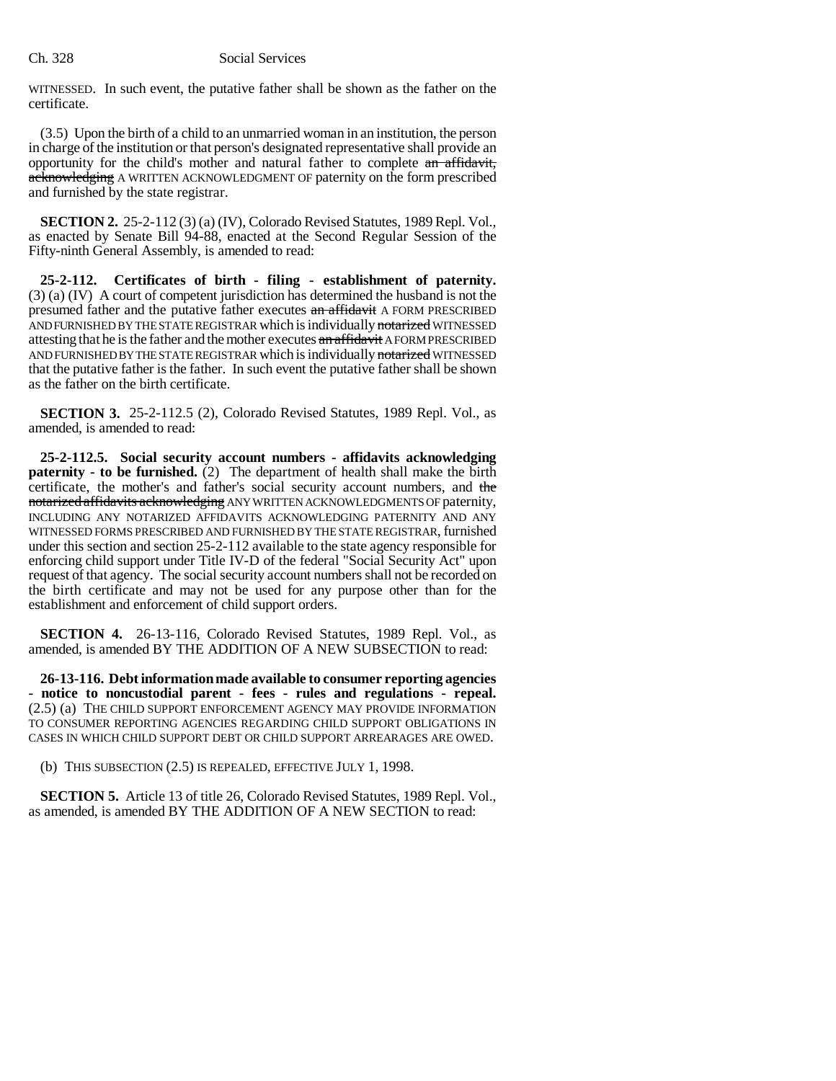#### Ch. 328 Social Services

WITNESSED. In such event, the putative father shall be shown as the father on the certificate.

(3.5) Upon the birth of a child to an unmarried woman in an institution, the person in charge of the institution or that person's designated representative shall provide an opportunity for the child's mother and natural father to complete an affidavit, acknowledging A WRITTEN ACKNOWLEDGMENT OF paternity on the form prescribed and furnished by the state registrar.

**SECTION 2.** 25-2-112 (3) (a) (IV), Colorado Revised Statutes, 1989 Repl. Vol., as enacted by Senate Bill 94-88, enacted at the Second Regular Session of the Fifty-ninth General Assembly, is amended to read:

**25-2-112. Certificates of birth - filing - establishment of paternity.** (3) (a) (IV) A court of competent jurisdiction has determined the husband is not the presumed father and the putative father executes an affidavit A FORM PRESCRIBED AND FURNISHED BY THE STATE REGISTRAR which is individually notarized WITNESSED attesting that he is the father and the mother executes an affidavit A FORM PRESCRIBED AND FURNISHED BY THE STATE REGISTRAR which is individually notarized WITNESSED that the putative father is the father. In such event the putative father shall be shown as the father on the birth certificate.

**SECTION 3.** 25-2-112.5 (2), Colorado Revised Statutes, 1989 Repl. Vol., as amended, is amended to read:

**25-2-112.5. Social security account numbers - affidavits acknowledging paternity - to be furnished.** (2) The department of health shall make the birth certificate, the mother's and father's social security account numbers, and the notarized affidavits acknowledging ANY WRITTEN ACKNOWLEDGMENTS OF paternity, INCLUDING ANY NOTARIZED AFFIDAVITS ACKNOWLEDGING PATERNITY AND ANY WITNESSED FORMS PRESCRIBED AND FURNISHED BY THE STATE REGISTRAR, furnished under this section and section 25-2-112 available to the state agency responsible for enforcing child support under Title IV-D of the federal "Social Security Act" upon request of that agency. The social security account numbers shall not be recorded on the birth certificate and may not be used for any purpose other than for the establishment and enforcement of child support orders.

**SECTION 4.** 26-13-116, Colorado Revised Statutes, 1989 Repl. Vol., as amended, is amended BY THE ADDITION OF A NEW SUBSECTION to read:

**26-13-116. Debt information made available to consumer reporting agencies - notice to noncustodial parent - fees - rules and regulations - repeal.** (2.5) (a) THE CHILD SUPPORT ENFORCEMENT AGENCY MAY PROVIDE INFORMATION TO CONSUMER REPORTING AGENCIES REGARDING CHILD SUPPORT OBLIGATIONS IN CASES IN WHICH CHILD SUPPORT DEBT OR CHILD SUPPORT ARREARAGES ARE OWED.

(b) THIS SUBSECTION (2.5) IS REPEALED, EFFECTIVE JULY 1, 1998.

**SECTION 5.** Article 13 of title 26, Colorado Revised Statutes, 1989 Repl. Vol., as amended, is amended BY THE ADDITION OF A NEW SECTION to read: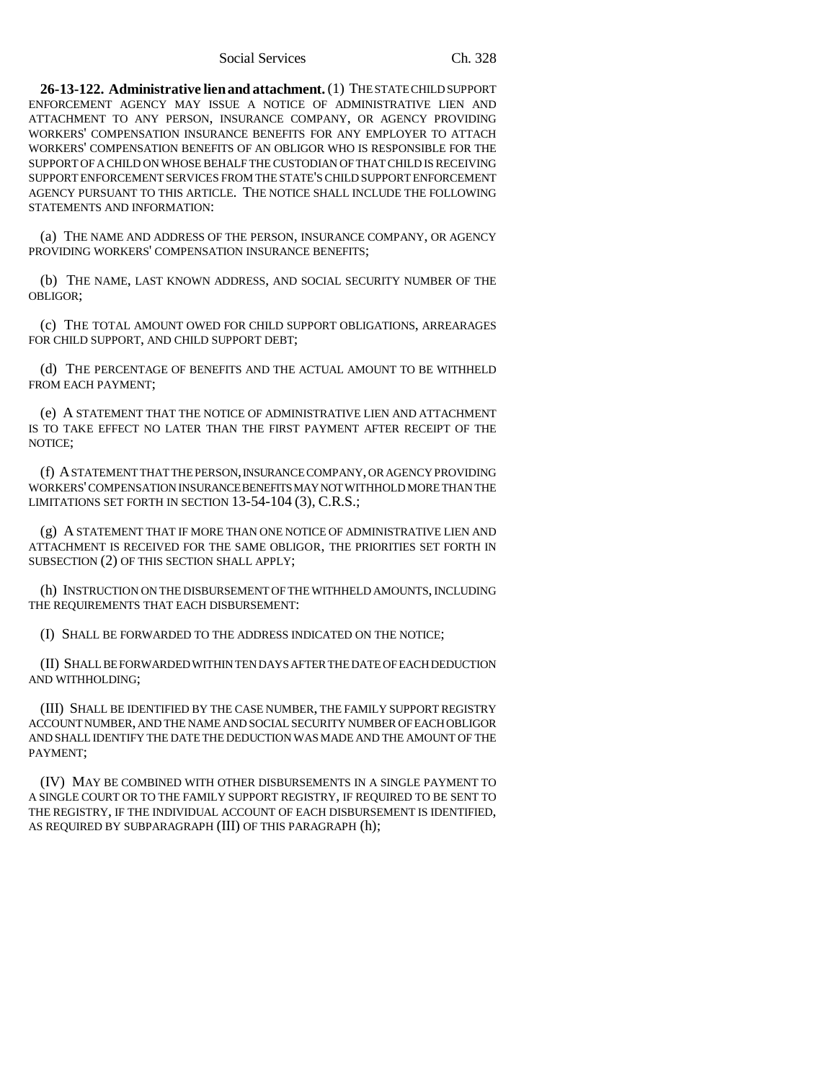#### Social Services Ch. 328

**26-13-122. Administrative lien and attachment.** (1) THE STATE CHILD SUPPORT ENFORCEMENT AGENCY MAY ISSUE A NOTICE OF ADMINISTRATIVE LIEN AND ATTACHMENT TO ANY PERSON, INSURANCE COMPANY, OR AGENCY PROVIDING WORKERS' COMPENSATION INSURANCE BENEFITS FOR ANY EMPLOYER TO ATTACH WORKERS' COMPENSATION BENEFITS OF AN OBLIGOR WHO IS RESPONSIBLE FOR THE SUPPORT OF A CHILD ON WHOSE BEHALF THE CUSTODIAN OF THAT CHILD IS RECEIVING SUPPORT ENFORCEMENT SERVICES FROM THE STATE'S CHILD SUPPORT ENFORCEMENT AGENCY PURSUANT TO THIS ARTICLE. THE NOTICE SHALL INCLUDE THE FOLLOWING STATEMENTS AND INFORMATION:

(a) THE NAME AND ADDRESS OF THE PERSON, INSURANCE COMPANY, OR AGENCY PROVIDING WORKERS' COMPENSATION INSURANCE BENEFITS;

(b) THE NAME, LAST KNOWN ADDRESS, AND SOCIAL SECURITY NUMBER OF THE OBLIGOR;

(c) THE TOTAL AMOUNT OWED FOR CHILD SUPPORT OBLIGATIONS, ARREARAGES FOR CHILD SUPPORT, AND CHILD SUPPORT DEBT;

(d) THE PERCENTAGE OF BENEFITS AND THE ACTUAL AMOUNT TO BE WITHHELD FROM EACH PAYMENT;

(e) A STATEMENT THAT THE NOTICE OF ADMINISTRATIVE LIEN AND ATTACHMENT IS TO TAKE EFFECT NO LATER THAN THE FIRST PAYMENT AFTER RECEIPT OF THE NOTICE;

(f) A STATEMENT THAT THE PERSON, INSURANCE COMPANY, OR AGENCY PROVIDING WORKERS' COMPENSATION INSURANCE BENEFITS MAY NOT WITHHOLD MORE THAN THE LIMITATIONS SET FORTH IN SECTION 13-54-104 (3), C.R.S.;

(g) A STATEMENT THAT IF MORE THAN ONE NOTICE OF ADMINISTRATIVE LIEN AND ATTACHMENT IS RECEIVED FOR THE SAME OBLIGOR, THE PRIORITIES SET FORTH IN SUBSECTION (2) OF THIS SECTION SHALL APPLY;

(h) INSTRUCTION ON THE DISBURSEMENT OF THE WITHHELD AMOUNTS, INCLUDING THE REQUIREMENTS THAT EACH DISBURSEMENT:

(I) SHALL BE FORWARDED TO THE ADDRESS INDICATED ON THE NOTICE;

(II) SHALL BE FORWARDED WITHIN TEN DAYS AFTER THE DATE OF EACH DEDUCTION AND WITHHOLDING;

(III) SHALL BE IDENTIFIED BY THE CASE NUMBER, THE FAMILY SUPPORT REGISTRY ACCOUNT NUMBER, AND THE NAME AND SOCIAL SECURITY NUMBER OF EACH OBLIGOR AND SHALL IDENTIFY THE DATE THE DEDUCTION WAS MADE AND THE AMOUNT OF THE PAYMENT;

(IV) MAY BE COMBINED WITH OTHER DISBURSEMENTS IN A SINGLE PAYMENT TO A SINGLE COURT OR TO THE FAMILY SUPPORT REGISTRY, IF REQUIRED TO BE SENT TO THE REGISTRY, IF THE INDIVIDUAL ACCOUNT OF EACH DISBURSEMENT IS IDENTIFIED, AS REQUIRED BY SUBPARAGRAPH (III) OF THIS PARAGRAPH (h);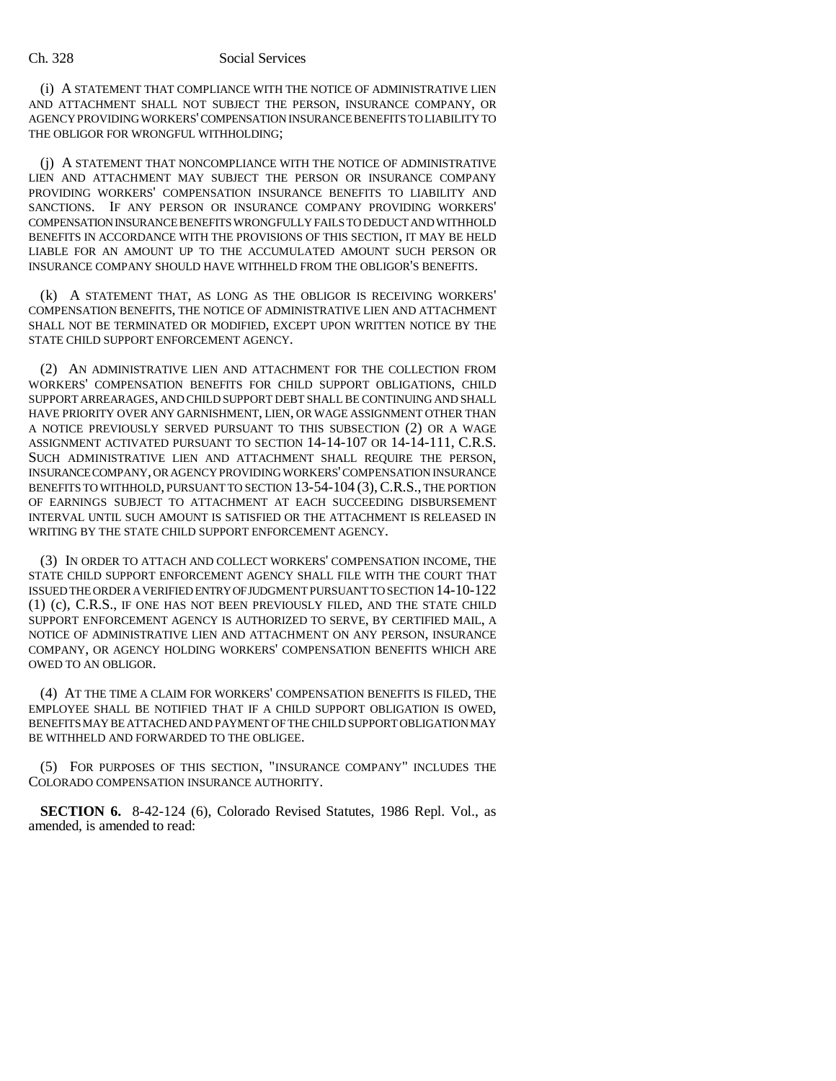#### Ch. 328 Social Services

(i) A STATEMENT THAT COMPLIANCE WITH THE NOTICE OF ADMINISTRATIVE LIEN AND ATTACHMENT SHALL NOT SUBJECT THE PERSON, INSURANCE COMPANY, OR AGENCY PROVIDING WORKERS' COMPENSATION INSURANCE BENEFITS TO LIABILITY TO THE OBLIGOR FOR WRONGFUL WITHHOLDING;

(j) A STATEMENT THAT NONCOMPLIANCE WITH THE NOTICE OF ADMINISTRATIVE LIEN AND ATTACHMENT MAY SUBJECT THE PERSON OR INSURANCE COMPANY PROVIDING WORKERS' COMPENSATION INSURANCE BENEFITS TO LIABILITY AND SANCTIONS. IF ANY PERSON OR INSURANCE COMPANY PROVIDING WORKERS' COMPENSATION INSURANCE BENEFITS WRONGFULLY FAILS TO DEDUCT AND WITHHOLD BENEFITS IN ACCORDANCE WITH THE PROVISIONS OF THIS SECTION, IT MAY BE HELD LIABLE FOR AN AMOUNT UP TO THE ACCUMULATED AMOUNT SUCH PERSON OR INSURANCE COMPANY SHOULD HAVE WITHHELD FROM THE OBLIGOR'S BENEFITS.

(k) A STATEMENT THAT, AS LONG AS THE OBLIGOR IS RECEIVING WORKERS' COMPENSATION BENEFITS, THE NOTICE OF ADMINISTRATIVE LIEN AND ATTACHMENT SHALL NOT BE TERMINATED OR MODIFIED, EXCEPT UPON WRITTEN NOTICE BY THE STATE CHILD SUPPORT ENFORCEMENT AGENCY.

(2) AN ADMINISTRATIVE LIEN AND ATTACHMENT FOR THE COLLECTION FROM WORKERS' COMPENSATION BENEFITS FOR CHILD SUPPORT OBLIGATIONS, CHILD SUPPORT ARREARAGES, AND CHILD SUPPORT DEBT SHALL BE CONTINUING AND SHALL HAVE PRIORITY OVER ANY GARNISHMENT, LIEN, OR WAGE ASSIGNMENT OTHER THAN A NOTICE PREVIOUSLY SERVED PURSUANT TO THIS SUBSECTION (2) OR A WAGE ASSIGNMENT ACTIVATED PURSUANT TO SECTION 14-14-107 OR 14-14-111, C.R.S. SUCH ADMINISTRATIVE LIEN AND ATTACHMENT SHALL REQUIRE THE PERSON, INSURANCE COMPANY, OR AGENCY PROVIDING WORKERS' COMPENSATION INSURANCE BENEFITS TO WITHHOLD, PURSUANT TO SECTION 13-54-104 (3), C.R.S., THE PORTION OF EARNINGS SUBJECT TO ATTACHMENT AT EACH SUCCEEDING DISBURSEMENT INTERVAL UNTIL SUCH AMOUNT IS SATISFIED OR THE ATTACHMENT IS RELEASED IN WRITING BY THE STATE CHILD SUPPORT ENFORCEMENT AGENCY.

(3) IN ORDER TO ATTACH AND COLLECT WORKERS' COMPENSATION INCOME, THE STATE CHILD SUPPORT ENFORCEMENT AGENCY SHALL FILE WITH THE COURT THAT ISSUED THE ORDER A VERIFIED ENTRY OF JUDGMENT PURSUANT TO SECTION 14-10-122 (1) (c), C.R.S., IF ONE HAS NOT BEEN PREVIOUSLY FILED, AND THE STATE CHILD SUPPORT ENFORCEMENT AGENCY IS AUTHORIZED TO SERVE, BY CERTIFIED MAIL, A NOTICE OF ADMINISTRATIVE LIEN AND ATTACHMENT ON ANY PERSON, INSURANCE COMPANY, OR AGENCY HOLDING WORKERS' COMPENSATION BENEFITS WHICH ARE OWED TO AN OBLIGOR.

(4) AT THE TIME A CLAIM FOR WORKERS' COMPENSATION BENEFITS IS FILED, THE EMPLOYEE SHALL BE NOTIFIED THAT IF A CHILD SUPPORT OBLIGATION IS OWED, BENEFITS MAY BE ATTACHED AND PAYMENT OF THE CHILD SUPPORT OBLIGATION MAY BE WITHHELD AND FORWARDED TO THE OBLIGEE.

(5) FOR PURPOSES OF THIS SECTION, "INSURANCE COMPANY" INCLUDES THE COLORADO COMPENSATION INSURANCE AUTHORITY.

**SECTION 6.** 8-42-124 (6), Colorado Revised Statutes, 1986 Repl. Vol., as amended, is amended to read: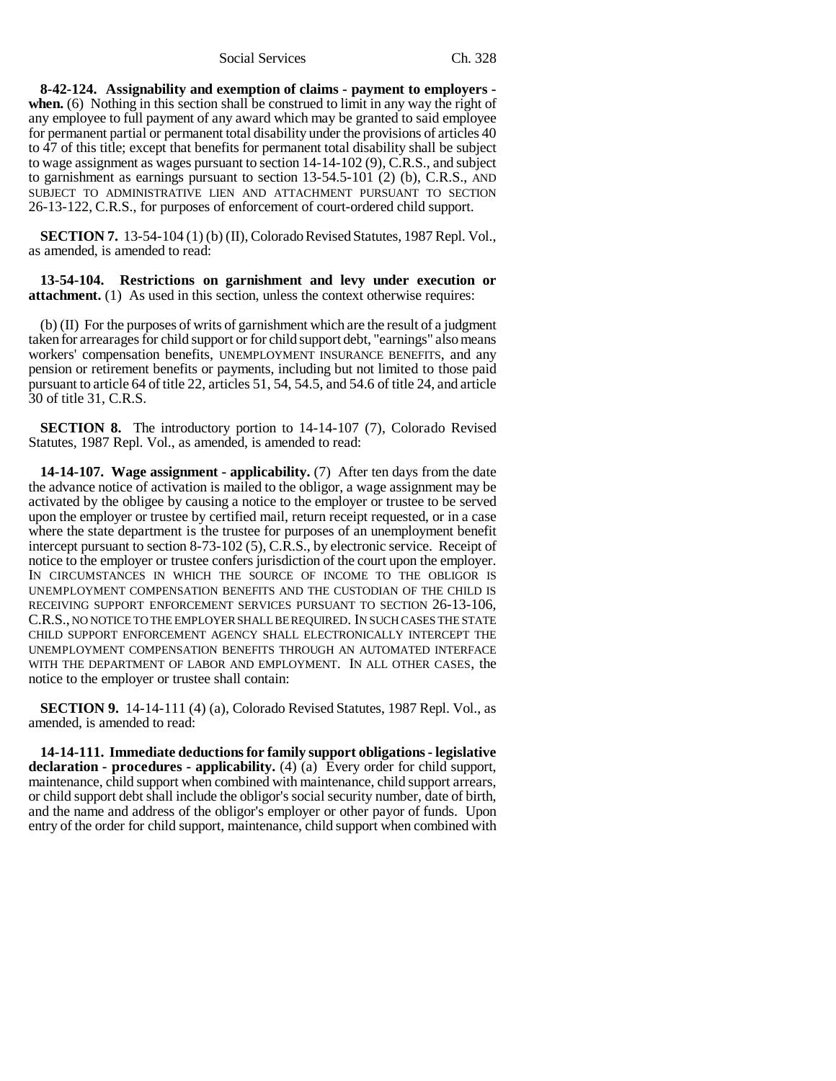Social Services Ch. 328

**8-42-124. Assignability and exemption of claims - payment to employers when.** (6) Nothing in this section shall be construed to limit in any way the right of any employee to full payment of any award which may be granted to said employee for permanent partial or permanent total disability under the provisions of articles 40 to 47 of this title; except that benefits for permanent total disability shall be subject to wage assignment as wages pursuant to section 14-14-102 (9), C.R.S., and subject to garnishment as earnings pursuant to section 13-54.5-101 (2) (b), C.R.S., AND SUBJECT TO ADMINISTRATIVE LIEN AND ATTACHMENT PURSUANT TO SECTION 26-13-122, C.R.S., for purposes of enforcement of court-ordered child support.

**SECTION 7.** 13-54-104 (1) (b) (II), Colorado Revised Statutes, 1987 Repl. Vol., as amended, is amended to read:

**13-54-104. Restrictions on garnishment and levy under execution or attachment.** (1) As used in this section, unless the context otherwise requires:

(b) (II) For the purposes of writs of garnishment which are the result of a judgment taken for arrearages for child support or for child support debt, "earnings" also means workers' compensation benefits, UNEMPLOYMENT INSURANCE BENEFITS, and any pension or retirement benefits or payments, including but not limited to those paid pursuant to article 64 of title 22, articles 51, 54, 54.5, and 54.6 of title 24, and article 30 of title 31, C.R.S.

**SECTION 8.** The introductory portion to 14-14-107 (7), Colorado Revised Statutes, 1987 Repl. Vol., as amended, is amended to read:

**14-14-107. Wage assignment - applicability.** (7) After ten days from the date the advance notice of activation is mailed to the obligor, a wage assignment may be activated by the obligee by causing a notice to the employer or trustee to be served upon the employer or trustee by certified mail, return receipt requested, or in a case where the state department is the trustee for purposes of an unemployment benefit intercept pursuant to section 8-73-102 (5), C.R.S., by electronic service. Receipt of notice to the employer or trustee confers jurisdiction of the court upon the employer. IN CIRCUMSTANCES IN WHICH THE SOURCE OF INCOME TO THE OBLIGOR IS UNEMPLOYMENT COMPENSATION BENEFITS AND THE CUSTODIAN OF THE CHILD IS RECEIVING SUPPORT ENFORCEMENT SERVICES PURSUANT TO SECTION 26-13-106, C.R.S., NO NOTICE TO THE EMPLOYER SHALL BE REQUIRED. IN SUCH CASES THE STATE CHILD SUPPORT ENFORCEMENT AGENCY SHALL ELECTRONICALLY INTERCEPT THE UNEMPLOYMENT COMPENSATION BENEFITS THROUGH AN AUTOMATED INTERFACE WITH THE DEPARTMENT OF LABOR AND EMPLOYMENT. IN ALL OTHER CASES, the notice to the employer or trustee shall contain:

**SECTION 9.** 14-14-111 (4) (a), Colorado Revised Statutes, 1987 Repl. Vol., as amended, is amended to read:

**14-14-111. Immediate deductions for family support obligations - legislative declaration - procedures - applicability.** (4) (a) Every order for child support, maintenance, child support when combined with maintenance, child support arrears, or child support debt shall include the obligor's social security number, date of birth, and the name and address of the obligor's employer or other payor of funds. Upon entry of the order for child support, maintenance, child support when combined with